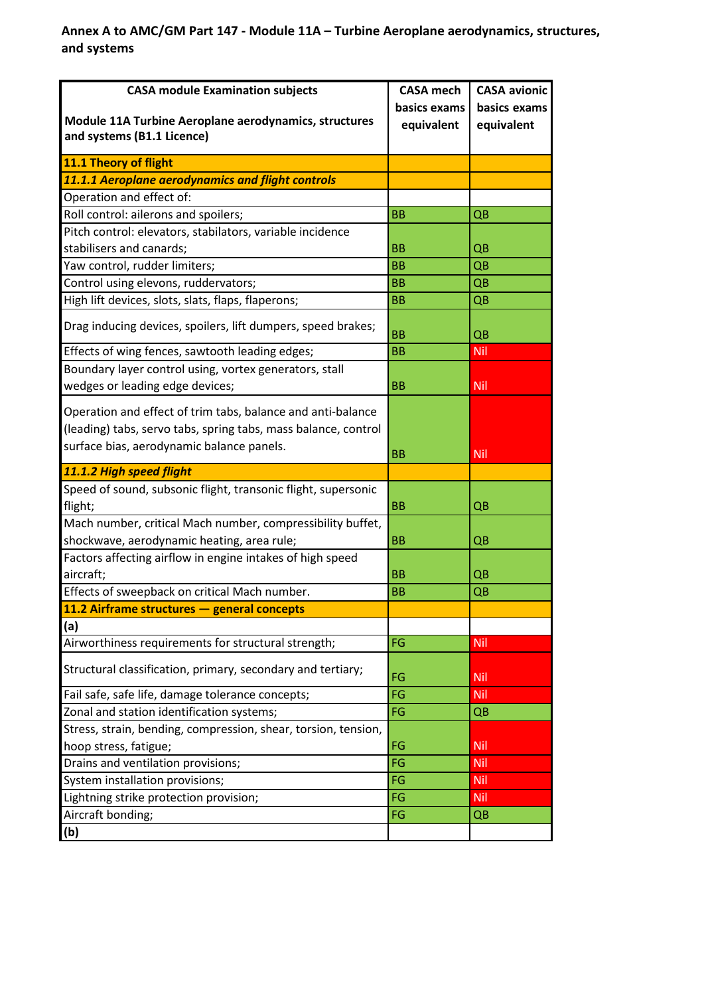## **Annex A to AMC/GM Part 147 - Module 11A – Turbine Aeroplane aerodynamics, structures, and systems**

| <b>CASA module Examination subjects</b>                        | <b>CASA</b> mech | <b>CASA avionic</b> |
|----------------------------------------------------------------|------------------|---------------------|
|                                                                | basics exams     | basics exams        |
| Module 11A Turbine Aeroplane aerodynamics, structures          | equivalent       | equivalent          |
| and systems (B1.1 Licence)                                     |                  |                     |
| 11.1 Theory of flight                                          |                  |                     |
| 11.1.1 Aeroplane aerodynamics and flight controls              |                  |                     |
| Operation and effect of:                                       |                  |                     |
| Roll control: ailerons and spoilers;                           | <b>BB</b>        | QB                  |
| Pitch control: elevators, stabilators, variable incidence      |                  |                     |
| stabilisers and canards;                                       | <b>BB</b>        | QB                  |
| Yaw control, rudder limiters;                                  | <b>BB</b>        | QB                  |
| Control using elevons, ruddervators;                           | <b>BB</b>        | QB                  |
| High lift devices, slots, slats, flaps, flaperons;             | <b>BB</b>        | QB                  |
|                                                                |                  |                     |
| Drag inducing devices, spoilers, lift dumpers, speed brakes;   | <b>BB</b>        | QB                  |
| Effects of wing fences, sawtooth leading edges;                | <b>BB</b>        | Nil                 |
| Boundary layer control using, vortex generators, stall         |                  |                     |
| wedges or leading edge devices;                                | <b>BB</b>        | Nil                 |
|                                                                |                  |                     |
| Operation and effect of trim tabs, balance and anti-balance    |                  |                     |
| (leading) tabs, servo tabs, spring tabs, mass balance, control |                  |                     |
| surface bias, aerodynamic balance panels.                      | <b>BB</b>        | Nil                 |
|                                                                |                  |                     |
|                                                                |                  |                     |
| 11.1.2 High speed flight                                       |                  |                     |
| Speed of sound, subsonic flight, transonic flight, supersonic  | <b>BB</b>        | QB                  |
| flight;                                                        |                  |                     |
| Mach number, critical Mach number, compressibility buffet,     | <b>BB</b>        |                     |
| shockwave, aerodynamic heating, area rule;                     |                  | QB                  |
| Factors affecting airflow in engine intakes of high speed      | <b>BB</b>        |                     |
| aircraft;                                                      | <b>BB</b>        | QB                  |
| Effects of sweepback on critical Mach number.                  |                  | QB                  |
| 11.2 Airframe structures - general concepts                    |                  |                     |
| (a)                                                            |                  |                     |
| Airworthiness requirements for structural strength;            | FG               | Nil                 |
| Structural classification, primary, secondary and tertiary;    | FG               | Nil                 |
| Fail safe, safe life, damage tolerance concepts;               | FG               | Nil                 |
| Zonal and station identification systems;                      | FG               | QB                  |
| Stress, strain, bending, compression, shear, torsion, tension, |                  |                     |
| hoop stress, fatigue;                                          | FG               | Nil                 |
| Drains and ventilation provisions;                             | FG               | Nil                 |
| System installation provisions;                                | FG               | Nil                 |
| Lightning strike protection provision;                         | FG               | Nil                 |
| Aircraft bonding;                                              | FG               | QB                  |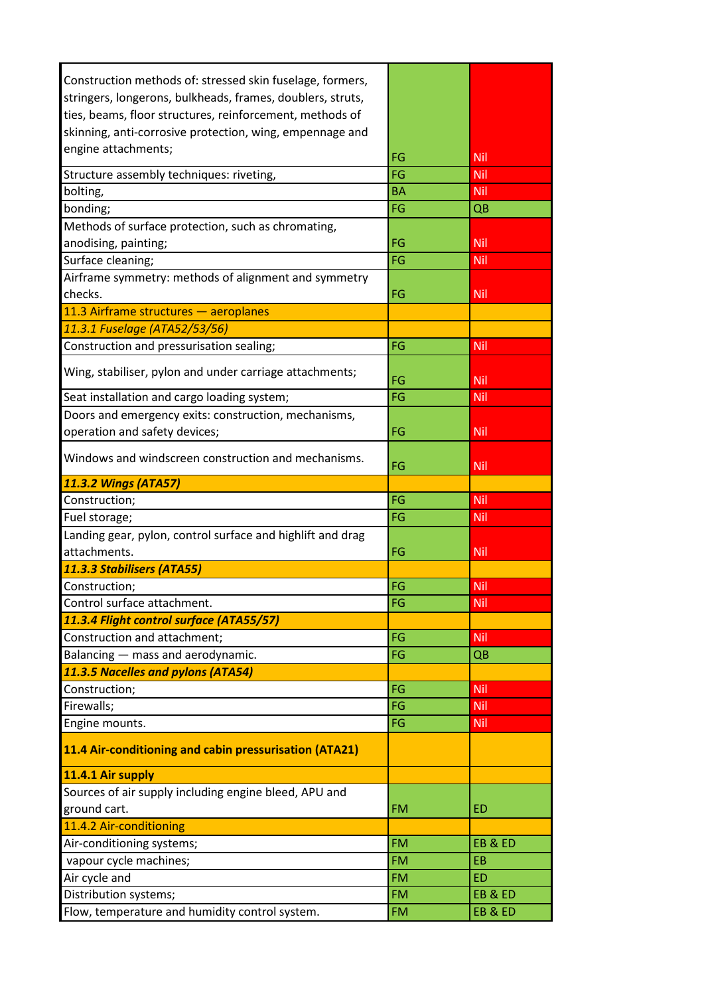| Construction methods of: stressed skin fuselage, formers,<br>stringers, longerons, bulkheads, frames, doublers, struts,<br>ties, beams, floor structures, reinforcement, methods of<br>skinning, anti-corrosive protection, wing, empennage and<br>engine attachments; |           |            |
|------------------------------------------------------------------------------------------------------------------------------------------------------------------------------------------------------------------------------------------------------------------------|-----------|------------|
|                                                                                                                                                                                                                                                                        | FG        | Nil        |
| Structure assembly techniques: riveting,                                                                                                                                                                                                                               | FG        | <b>Nil</b> |
| bolting,                                                                                                                                                                                                                                                               | <b>BA</b> | <b>Nil</b> |
| bonding;                                                                                                                                                                                                                                                               | FG        | QB         |
| Methods of surface protection, such as chromating,                                                                                                                                                                                                                     |           |            |
| anodising, painting;                                                                                                                                                                                                                                                   | FG        | Nil        |
| Surface cleaning;                                                                                                                                                                                                                                                      | FG        | <b>Nil</b> |
| Airframe symmetry: methods of alignment and symmetry                                                                                                                                                                                                                   |           |            |
| checks.                                                                                                                                                                                                                                                                | FG        | Nil        |
| 11.3 Airframe structures - aeroplanes                                                                                                                                                                                                                                  |           |            |
| 11.3.1 Fuselage (ATA52/53/56)                                                                                                                                                                                                                                          |           |            |
| Construction and pressurisation sealing;                                                                                                                                                                                                                               | FG        | <b>Nil</b> |
| Wing, stabiliser, pylon and under carriage attachments;                                                                                                                                                                                                                | FG        | <b>Nil</b> |
| Seat installation and cargo loading system;                                                                                                                                                                                                                            | FG        | <b>Nil</b> |
| Doors and emergency exits: construction, mechanisms,                                                                                                                                                                                                                   |           |            |
| operation and safety devices;                                                                                                                                                                                                                                          | FG        | Nil        |
| Windows and windscreen construction and mechanisms.                                                                                                                                                                                                                    | FG        | Nil        |
| <b>11.3.2 Wings (ATA57)</b>                                                                                                                                                                                                                                            |           |            |
| Construction;                                                                                                                                                                                                                                                          | FG        | Nil        |
| Fuel storage;                                                                                                                                                                                                                                                          | FG        | Nil        |
| Landing gear, pylon, control surface and highlift and drag                                                                                                                                                                                                             |           |            |
| attachments.                                                                                                                                                                                                                                                           | FG        | Nil        |
| 11.3.3 Stabilisers (ATA55)                                                                                                                                                                                                                                             |           |            |
| Construction;                                                                                                                                                                                                                                                          | FG        | Nil        |
| Control surface attachment.                                                                                                                                                                                                                                            | FG        | Nil        |
| 11.3.4 Flight control surface (ATA55/57)                                                                                                                                                                                                                               |           |            |
| Construction and attachment;                                                                                                                                                                                                                                           | FG        | Nil        |
| Balancing - mass and aerodynamic.                                                                                                                                                                                                                                      | FG        | QB         |
| 11.3.5 Nacelles and pylons (ATA54)                                                                                                                                                                                                                                     |           |            |
| Construction;                                                                                                                                                                                                                                                          | FG        | <b>Nil</b> |
| Firewalls;                                                                                                                                                                                                                                                             | FG        | Nil        |
| Engine mounts.                                                                                                                                                                                                                                                         | FG        | Nil        |
| 11.4 Air-conditioning and cabin pressurisation (ATA21)                                                                                                                                                                                                                 |           |            |
| 11.4.1 Air supply                                                                                                                                                                                                                                                      |           |            |
| Sources of air supply including engine bleed, APU and                                                                                                                                                                                                                  |           |            |
| ground cart.                                                                                                                                                                                                                                                           | <b>FM</b> | <b>ED</b>  |
| 11.4.2 Air-conditioning                                                                                                                                                                                                                                                |           |            |
| Air-conditioning systems;                                                                                                                                                                                                                                              | <b>FM</b> | EB&ED      |
| vapour cycle machines;                                                                                                                                                                                                                                                 | <b>FM</b> | EB         |
| Air cycle and                                                                                                                                                                                                                                                          | <b>FM</b> | <b>ED</b>  |
| Distribution systems;                                                                                                                                                                                                                                                  | <b>FM</b> | EB&ED      |
| Flow, temperature and humidity control system.                                                                                                                                                                                                                         | <b>FM</b> | EB&ED      |
|                                                                                                                                                                                                                                                                        |           |            |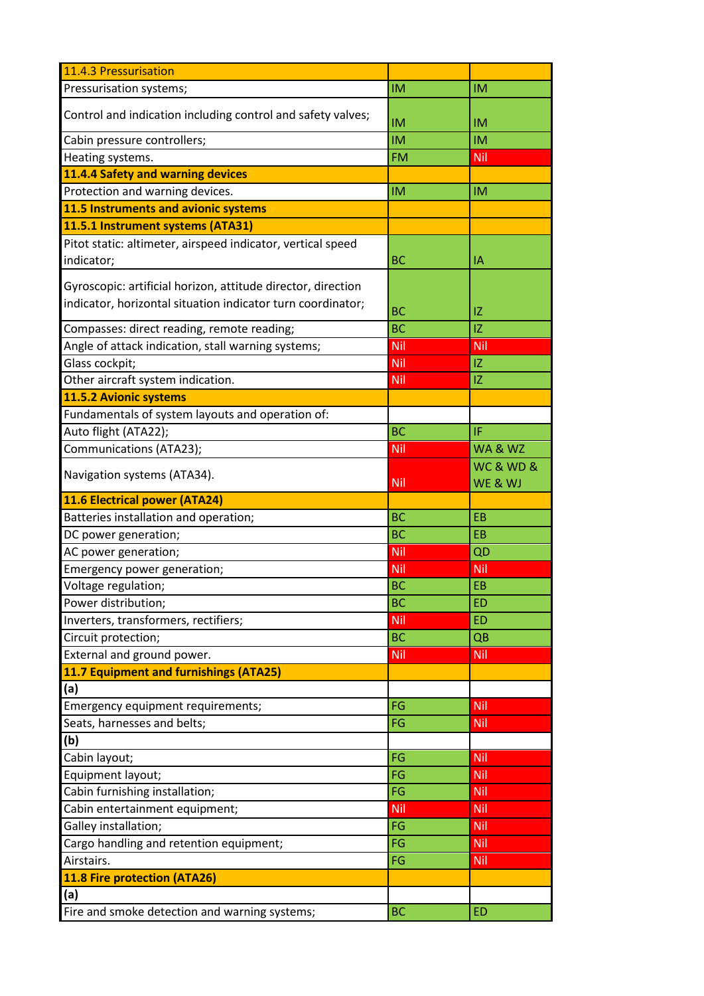| 11.4.3 Pressurisation                                                                                                       |           |                   |
|-----------------------------------------------------------------------------------------------------------------------------|-----------|-------------------|
| Pressurisation systems;                                                                                                     | <b>IM</b> | IM                |
| Control and indication including control and safety valves;                                                                 | <b>IM</b> | <b>IM</b>         |
| Cabin pressure controllers;                                                                                                 | <b>IM</b> | <b>IM</b>         |
| Heating systems.                                                                                                            | <b>FM</b> | Nil               |
| 11.4.4 Safety and warning devices                                                                                           |           |                   |
| Protection and warning devices.                                                                                             | <b>IM</b> | <b>IM</b>         |
| 11.5 Instruments and avionic systems                                                                                        |           |                   |
| 11.5.1 Instrument systems (ATA31)                                                                                           |           |                   |
| Pitot static: altimeter, airspeed indicator, vertical speed<br>indicator;                                                   | <b>BC</b> | ΙA                |
| Gyroscopic: artificial horizon, attitude director, direction<br>indicator, horizontal situation indicator turn coordinator; | <b>BC</b> | IZ                |
| Compasses: direct reading, remote reading;                                                                                  | <b>BC</b> | IZ                |
| Angle of attack indication, stall warning systems;                                                                          | Nil       | <b>Nil</b>        |
| Glass cockpit;                                                                                                              | Nil       | IZ                |
| Other aircraft system indication.                                                                                           | Nil       | IZ                |
| 11.5.2 Avionic systems                                                                                                      |           |                   |
| Fundamentals of system layouts and operation of:                                                                            |           |                   |
| Auto flight (ATA22);                                                                                                        | <b>BC</b> | IF                |
| Communications (ATA23);                                                                                                     | Nil       | WA&WZ             |
| Navigation systems (ATA34).                                                                                                 | Nil       | WC&WD&<br>WE & WJ |
|                                                                                                                             |           |                   |
| 11.6 Electrical power (ATA24)                                                                                               |           |                   |
| Batteries installation and operation;                                                                                       | <b>BC</b> | EB                |
| DC power generation;                                                                                                        | <b>BC</b> | <b>EB</b>         |
| AC power generation;                                                                                                        | Nil       | QD                |
| Emergency power generation;                                                                                                 | Nil       | Nil               |
| Voltage regulation;                                                                                                         | <b>BC</b> | <b>EB</b>         |
| Power distribution;                                                                                                         | <b>BC</b> | <b>ED</b>         |
| Inverters, transformers, rectifiers;                                                                                        | Nil       | <b>ED</b>         |
| Circuit protection;                                                                                                         | <b>BC</b> | QB                |
| External and ground power.                                                                                                  | Nil       | <b>Nil</b>        |
| 11.7 Equipment and furnishings (ATA25)                                                                                      |           |                   |
| (a)                                                                                                                         |           |                   |
| Emergency equipment requirements;                                                                                           | FG        | <b>Nil</b>        |
| Seats, harnesses and belts;                                                                                                 | FG        | Nil               |
| (b)                                                                                                                         |           |                   |
| Cabin layout;                                                                                                               | FG        | <b>Nil</b>        |
| Equipment layout;                                                                                                           | FG        | Nil               |
| Cabin furnishing installation;                                                                                              | FG        | <b>Nil</b>        |
| Cabin entertainment equipment;                                                                                              | Nil       | Nil               |
| Galley installation;                                                                                                        | FG        | Nil               |
| Cargo handling and retention equipment;                                                                                     | FG        | Nil               |
| Airstairs.                                                                                                                  | FG        | <b>Nil</b>        |
| 11.8 Fire protection (ATA26)                                                                                                |           |                   |
| (a)                                                                                                                         |           |                   |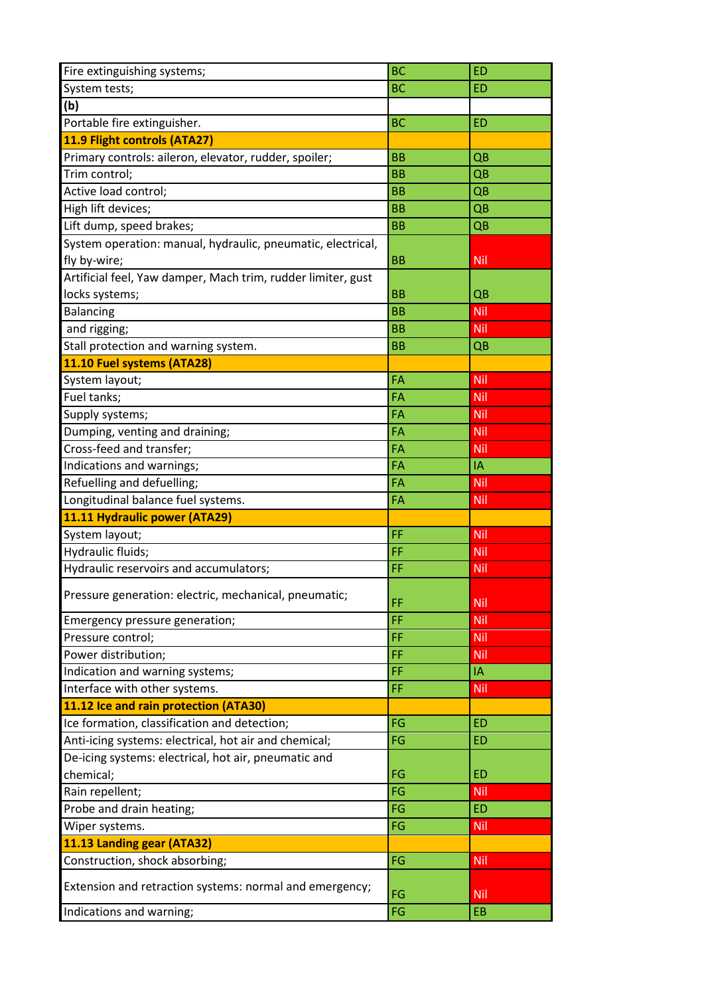| Fire extinguishing systems;                                                               | <b>BC</b> | <b>ED</b>               |
|-------------------------------------------------------------------------------------------|-----------|-------------------------|
| System tests;                                                                             | <b>BC</b> | <b>ED</b>               |
| (b)                                                                                       |           |                         |
| Portable fire extinguisher.                                                               | <b>BC</b> | <b>ED</b>               |
| 11.9 Flight controls (ATA27)                                                              |           |                         |
| Primary controls: aileron, elevator, rudder, spoiler;                                     | <b>BB</b> | QB                      |
| Trim control;                                                                             | <b>BB</b> | QB                      |
| Active load control;                                                                      | <b>BB</b> | QB                      |
| High lift devices;                                                                        | <b>BB</b> | QB                      |
| Lift dump, speed brakes;                                                                  | <b>BB</b> | QB                      |
| System operation: manual, hydraulic, pneumatic, electrical,                               |           |                         |
| fly by-wire;                                                                              | <b>BB</b> | <b>Nil</b>              |
| Artificial feel, Yaw damper, Mach trim, rudder limiter, gust                              |           |                         |
| locks systems;                                                                            | <b>BB</b> | QB                      |
| <b>Balancing</b>                                                                          | <b>BB</b> | Nil                     |
| and rigging;                                                                              | <b>BB</b> | Nil                     |
| Stall protection and warning system.                                                      | <b>BB</b> | QB                      |
| 11.10 Fuel systems (ATA28)                                                                |           |                         |
| System layout;                                                                            | FA        | Nil                     |
| Fuel tanks;                                                                               | FA        | <b>Nil</b>              |
| Supply systems;                                                                           | FA        | <b>Nil</b>              |
| Dumping, venting and draining;                                                            | FA        | <b>Nil</b>              |
| Cross-feed and transfer;                                                                  | FA        | Nil                     |
|                                                                                           | FA        | IA                      |
| Indications and warnings;                                                                 |           |                         |
| Refuelling and defuelling;                                                                | FA<br>FA  | Nil                     |
| Longitudinal balance fuel systems.<br>11.11 Hydraulic power (ATA29)                       |           | <b>Nil</b>              |
|                                                                                           | FF        |                         |
| System layout;                                                                            | FF        | <b>Nil</b>              |
| Hydraulic fluids;                                                                         |           | <b>Nil</b>              |
| Hydraulic reservoirs and accumulators;                                                    | FF        | Nil                     |
| Pressure generation: electric, mechanical, pneumatic;                                     | FF        | Nil                     |
| Emergency pressure generation;                                                            | FF        | Nil                     |
| Pressure control;                                                                         | FF        | <b>Nil</b>              |
| Power distribution;                                                                       | FF        | <b>Nil</b>              |
| Indication and warning systems;                                                           | FF        | IA                      |
| Interface with other systems.                                                             | FF        | Nil                     |
| 11.12 Ice and rain protection (ATA30)                                                     |           |                         |
| Ice formation, classification and detection;                                              | FG        | <b>ED</b>               |
| Anti-icing systems: electrical, hot air and chemical;                                     | FG        | <b>ED</b>               |
| De-icing systems: electrical, hot air, pneumatic and                                      |           |                         |
| chemical;                                                                                 | FG        | <b>ED</b>               |
| Rain repellent;                                                                           | FG        | Nil                     |
| Probe and drain heating;                                                                  | FG        | <b>ED</b>               |
| Wiper systems.                                                                            |           |                         |
|                                                                                           | FG        | Nil                     |
|                                                                                           |           |                         |
| 11.13 Landing gear (ATA32)                                                                | FG        | <b>Nil</b>              |
| Construction, shock absorbing;<br>Extension and retraction systems: normal and emergency; |           |                         |
| Indications and warning;                                                                  | FG<br>FG  | <b>Nil</b><br><b>EB</b> |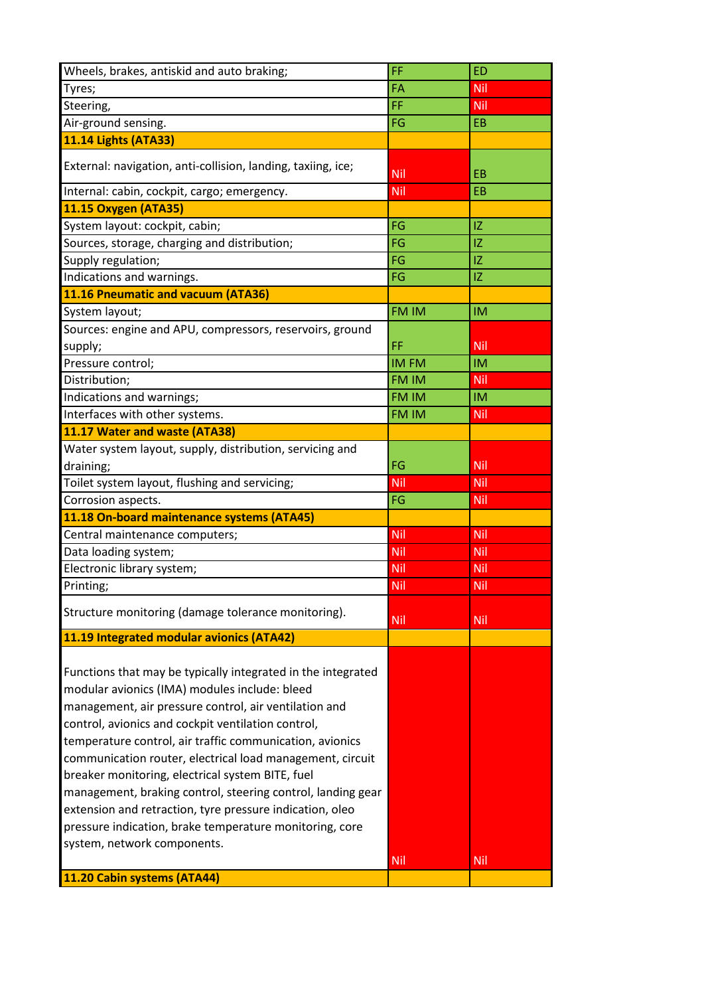| Wheels, brakes, antiskid and auto braking;                                                                                                                                                                                                                                                                                                                                                                                                                                                                                                                                                                                     | FF           | <b>ED</b>  |
|--------------------------------------------------------------------------------------------------------------------------------------------------------------------------------------------------------------------------------------------------------------------------------------------------------------------------------------------------------------------------------------------------------------------------------------------------------------------------------------------------------------------------------------------------------------------------------------------------------------------------------|--------------|------------|
| Tyres;                                                                                                                                                                                                                                                                                                                                                                                                                                                                                                                                                                                                                         | FA           | Nil        |
| Steering,                                                                                                                                                                                                                                                                                                                                                                                                                                                                                                                                                                                                                      | FF           | Nil        |
| Air-ground sensing.                                                                                                                                                                                                                                                                                                                                                                                                                                                                                                                                                                                                            | FG           | EB         |
| <b>11.14 Lights (ATA33)</b>                                                                                                                                                                                                                                                                                                                                                                                                                                                                                                                                                                                                    |              |            |
| External: navigation, anti-collision, landing, taxiing, ice;                                                                                                                                                                                                                                                                                                                                                                                                                                                                                                                                                                   | Nil          | EB         |
| Internal: cabin, cockpit, cargo; emergency.                                                                                                                                                                                                                                                                                                                                                                                                                                                                                                                                                                                    | <b>Nil</b>   | EB         |
| 11.15 Oxygen (ATA35)                                                                                                                                                                                                                                                                                                                                                                                                                                                                                                                                                                                                           |              |            |
| System layout: cockpit, cabin;                                                                                                                                                                                                                                                                                                                                                                                                                                                                                                                                                                                                 | FG           | IZ         |
| Sources, storage, charging and distribution;                                                                                                                                                                                                                                                                                                                                                                                                                                                                                                                                                                                   | FG           | IZ         |
| Supply regulation;                                                                                                                                                                                                                                                                                                                                                                                                                                                                                                                                                                                                             | FG           | IZ         |
| Indications and warnings.                                                                                                                                                                                                                                                                                                                                                                                                                                                                                                                                                                                                      | FG           | IZ         |
| 11.16 Pneumatic and vacuum (ATA36)                                                                                                                                                                                                                                                                                                                                                                                                                                                                                                                                                                                             |              |            |
| System layout;                                                                                                                                                                                                                                                                                                                                                                                                                                                                                                                                                                                                                 | <b>FM IM</b> | <b>IM</b>  |
| Sources: engine and APU, compressors, reservoirs, ground                                                                                                                                                                                                                                                                                                                                                                                                                                                                                                                                                                       |              |            |
| supply;                                                                                                                                                                                                                                                                                                                                                                                                                                                                                                                                                                                                                        | FF           | <b>Nil</b> |
| Pressure control;                                                                                                                                                                                                                                                                                                                                                                                                                                                                                                                                                                                                              | <b>IM FM</b> | <b>IM</b>  |
| Distribution;                                                                                                                                                                                                                                                                                                                                                                                                                                                                                                                                                                                                                  | <b>FM IM</b> | Nil        |
| Indications and warnings;                                                                                                                                                                                                                                                                                                                                                                                                                                                                                                                                                                                                      | <b>FM IM</b> | <b>IM</b>  |
| Interfaces with other systems.                                                                                                                                                                                                                                                                                                                                                                                                                                                                                                                                                                                                 | <b>FM IM</b> | <b>Nil</b> |
| 11.17 Water and waste (ATA38)                                                                                                                                                                                                                                                                                                                                                                                                                                                                                                                                                                                                  |              |            |
| Water system layout, supply, distribution, servicing and                                                                                                                                                                                                                                                                                                                                                                                                                                                                                                                                                                       |              |            |
| draining;                                                                                                                                                                                                                                                                                                                                                                                                                                                                                                                                                                                                                      | FG           | Nil        |
| Toilet system layout, flushing and servicing;                                                                                                                                                                                                                                                                                                                                                                                                                                                                                                                                                                                  | <b>Nil</b>   | Nil        |
| Corrosion aspects.                                                                                                                                                                                                                                                                                                                                                                                                                                                                                                                                                                                                             | FG           | Nil        |
| 11.18 On-board maintenance systems (ATA45)                                                                                                                                                                                                                                                                                                                                                                                                                                                                                                                                                                                     |              |            |
| Central maintenance computers;                                                                                                                                                                                                                                                                                                                                                                                                                                                                                                                                                                                                 | Nil          | Nil        |
| Data loading system;                                                                                                                                                                                                                                                                                                                                                                                                                                                                                                                                                                                                           | <b>Nil</b>   | Nil        |
| Electronic library system;                                                                                                                                                                                                                                                                                                                                                                                                                                                                                                                                                                                                     | Nil          | Nil        |
| Printing;                                                                                                                                                                                                                                                                                                                                                                                                                                                                                                                                                                                                                      | Nil          | <b>Nil</b> |
| Structure monitoring (damage tolerance monitoring).                                                                                                                                                                                                                                                                                                                                                                                                                                                                                                                                                                            | <b>Nil</b>   | Nil        |
| 11.19 Integrated modular avionics (ATA42)                                                                                                                                                                                                                                                                                                                                                                                                                                                                                                                                                                                      |              |            |
| Functions that may be typically integrated in the integrated<br>modular avionics (IMA) modules include: bleed<br>management, air pressure control, air ventilation and<br>control, avionics and cockpit ventilation control,<br>temperature control, air traffic communication, avionics<br>communication router, electrical load management, circuit<br>breaker monitoring, electrical system BITE, fuel<br>management, braking control, steering control, landing gear<br>extension and retraction, tyre pressure indication, oleo<br>pressure indication, brake temperature monitoring, core<br>system, network components. |              |            |
|                                                                                                                                                                                                                                                                                                                                                                                                                                                                                                                                                                                                                                | <b>Nil</b>   | Nil        |
| 11.20 Cabin systems (ATA44)                                                                                                                                                                                                                                                                                                                                                                                                                                                                                                                                                                                                    |              |            |